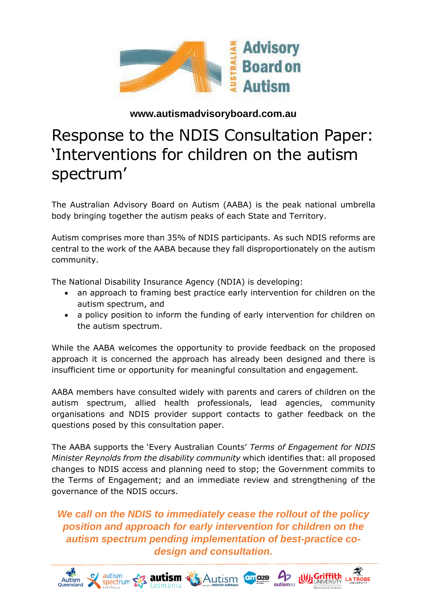

#### **www.autismadvisoryboard.com.au**

# Response to the NDIS Consultation Paper: 'Interventions for children on the autism spectrum'

The Australian Advisory Board on Autism (AABA) is the peak national umbrella body bringing together the autism peaks of each State and Territory.

Autism comprises more than 35% of NDIS participants. As such NDIS reforms are central to the work of the AABA because they fall disproportionately on the autism community.

The National Disability Insurance Agency (NDIA) is developing:

- an approach to framing best practice early intervention for children on the autism spectrum, and
- a policy position to inform the funding of early intervention for children on the autism spectrum.

While the AABA welcomes the opportunity to provide feedback on the proposed approach it is concerned the approach has already been designed and there is insufficient time or opportunity for meaningful consultation and engagement.

AABA members have consulted widely with parents and carers of children on the autism spectrum, allied health professionals, lead agencies, community organisations and NDIS provider support contacts to gather feedback on the questions posed by this consultation paper.

The AABA supports the 'Every Australian Counts' *Terms of Engagement for NDIS Minister Reynolds from the disability community* which identifies that: all proposed changes to NDIS access and planning need to stop; the Government commits to the Terms of Engagement; and an immediate review and strengthening of the governance of the NDIS occurs.

*We call on the NDIS to immediately cease the rollout of the policy position and approach for early intervention for children on the autism spectrum pending implementation of best-practice codesign and consultation.*

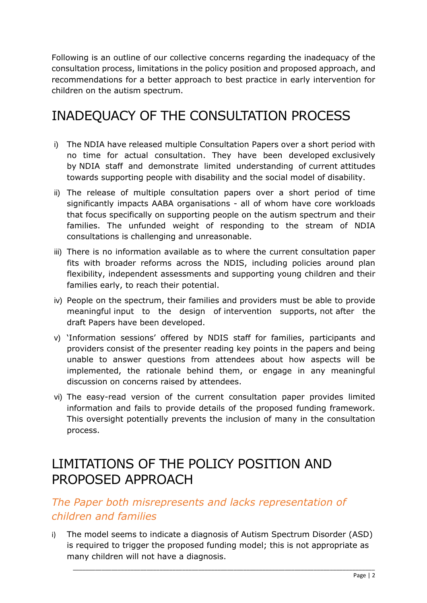Following is an outline of our collective concerns regarding the inadequacy of the consultation process, limitations in the policy position and proposed approach, and recommendations for a better approach to best practice in early intervention for children on the autism spectrum.

# INADEQUACY OF THE CONSULTATION PROCESS

- i) The NDIA have released multiple Consultation Papers over a short period with no time for actual consultation. They have been developed exclusively by NDIA staff and demonstrate limited understanding of current attitudes towards supporting people with disability and the social model of disability.
- ii) The release of multiple consultation papers over a short period of time significantly impacts AABA organisations - all of whom have core workloads that focus specifically on supporting people on the autism spectrum and their families. The unfunded weight of responding to the stream of NDIA consultations is challenging and unreasonable.
- iii) There is no information available as to where the current consultation paper fits with broader reforms across the NDIS, including policies around plan flexibility, independent assessments and supporting young children and their families early, to reach their potential.
- iv) People on the spectrum, their families and providers must be able to provide meaningful input to the design of intervention supports, not after the draft Papers have been developed.
- v) 'Information sessions' offered by NDIS staff for families, participants and providers consist of the presenter reading key points in the papers and being unable to answer questions from attendees about how aspects will be implemented, the rationale behind them, or engage in any meaningful discussion on concerns raised by attendees.
- vi) The easy-read version of the current consultation paper provides limited information and fails to provide details of the proposed funding framework. This oversight potentially prevents the inclusion of many in the consultation process.

# LIMITATIONS OF THE POLICY POSITION AND PROPOSED APPROACH

#### *The Paper both misrepresents and lacks representation of children and families*

i) The model seems to indicate a diagnosis of Autism Spectrum Disorder (ASD) is required to trigger the proposed funding model; this is not appropriate as many children will not have a diagnosis.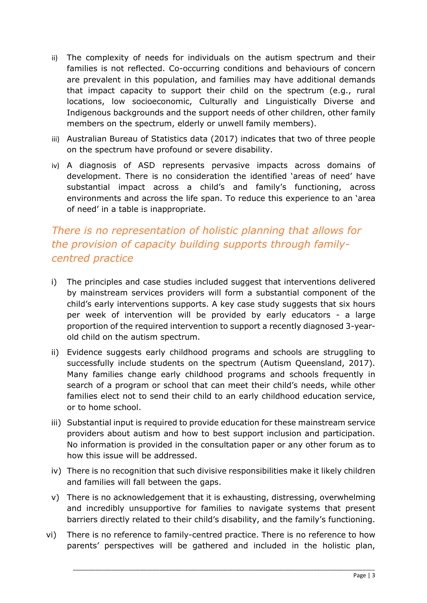- ii) The complexity of needs for individuals on the autism spectrum and their families is not reflected. Co-occurring conditions and behaviours of concern are prevalent in this population, and families may have additional demands that impact capacity to support their child on the spectrum (e.g., rural locations, low socioeconomic, Culturally and Linguistically Diverse and Indigenous backgrounds and the support needs of other children, other family members on the spectrum, elderly or unwell family members).
- iii) Australian Bureau of Statistics data (2017) indicates that two of three people on the spectrum have profound or severe disability.
- iv) A diagnosis of ASD represents pervasive impacts across domains of development. There is no consideration the identified 'areas of need' have substantial impact across a child's and family's functioning, across environments and across the life span. To reduce this experience to an 'area of need' in a table is inappropriate.

# *There is no representation of holistic planning that allows for the provision of capacity building supports through familycentred practice*

- i) The principles and case studies included suggest that interventions delivered by mainstream services providers will form a substantial component of the child's early interventions supports. A key case study suggests that six hours per week of intervention will be provided by early educators - a large proportion of the required intervention to support a recently diagnosed 3-yearold child on the autism spectrum.
- ii) Evidence suggests early childhood programs and schools are struggling to successfully include students on the spectrum (Autism Queensland, 2017). Many families change early childhood programs and schools frequently in search of a program or school that can meet their child's needs, while other families elect not to send their child to an early childhood education service, or to home school.
- iii) Substantial input is required to provide education for these mainstream service providers about autism and how to best support inclusion and participation. No information is provided in the consultation paper or any other forum as to how this issue will be addressed.
- iv) There is no recognition that such divisive responsibilities make it likely children and families will fall between the gaps.
- v) There is no acknowledgement that it is exhausting, distressing, overwhelming and incredibly unsupportive for families to navigate systems that present barriers directly related to their child's disability, and the family's functioning.
- vi) There is no reference to family-centred practice. There is no reference to how parents' perspectives will be gathered and included in the holistic plan,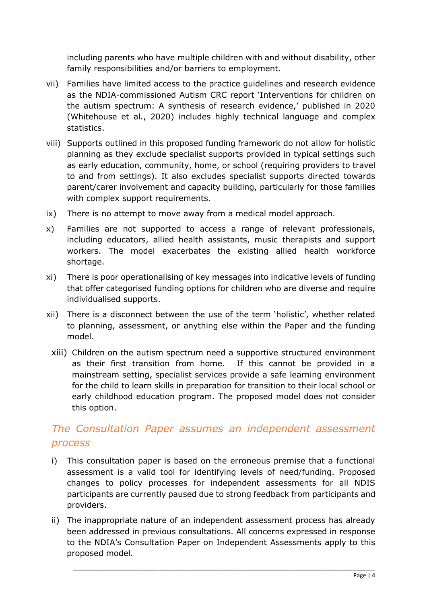including parents who have multiple children with and without disability, other family responsibilities and/or barriers to employment.

- vii) Families have limited access to the practice guidelines and research evidence as the NDIA-commissioned Autism CRC report 'Interventions for children on the autism spectrum: A synthesis of research evidence,' published in 2020 (Whitehouse et al., 2020) includes highly technical language and complex statistics.
- viii) Supports outlined in this proposed funding framework do not allow for holistic planning as they exclude specialist supports provided in typical settings such as early education, community, home, or school (requiring providers to travel to and from settings). It also excludes specialist supports directed towards parent/carer involvement and capacity building, particularly for those families with complex support requirements.
- ix) There is no attempt to move away from a medical model approach.
- x) Families are not supported to access a range of relevant professionals, including educators, allied health assistants, music therapists and support workers. The model exacerbates the existing allied health workforce shortage.
- xi) There is poor operationalising of key messages into indicative levels of funding that offer categorised funding options for children who are diverse and require individualised supports.
- xii) There is a disconnect between the use of the term 'holistic', whether related to planning, assessment, or anything else within the Paper and the funding model.
- xiii) Children on the autism spectrum need a supportive structured environment as their first transition from home. If this cannot be provided in a mainstream setting, specialist services provide a safe learning environment for the child to learn skills in preparation for transition to their local school or early childhood education program. The proposed model does not consider this option.

### *The Consultation Paper assumes an independent assessment process*

- i) This consultation paper is based on the erroneous premise that a functional assessment is a valid tool for identifying levels of need/funding. Proposed changes to policy processes for independent assessments for all NDIS participants are currently paused due to strong feedback from participants and providers.
- ii) The inappropriate nature of an independent assessment process has already been addressed in previous consultations. All concerns expressed in response to the NDIA's Consultation Paper on Independent Assessments apply to this proposed model.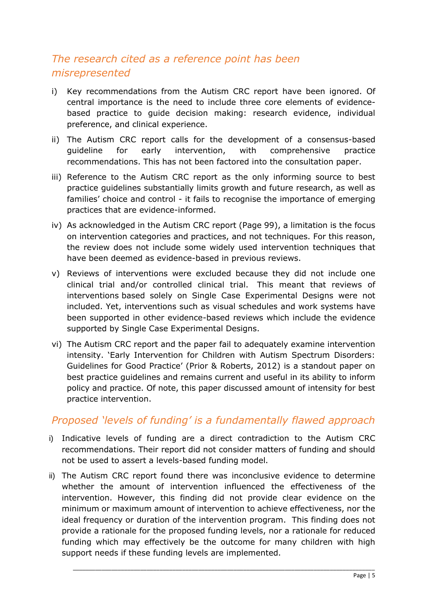# *The research cited as a reference point has been misrepresented*

- i) Key recommendations from the Autism CRC report have been ignored. Of central importance is the need to include three core elements of evidencebased practice to guide decision making: research evidence, individual preference, and clinical experience.
- ii) The Autism CRC report calls for the development of a consensus-based guideline for early intervention, with comprehensive practice recommendations. This has not been factored into the consultation paper.
- iii) Reference to the Autism CRC report as the only informing source to best practice guidelines substantially limits growth and future research, as well as families' choice and control - it fails to recognise the importance of emerging practices that are evidence-informed.
- iv) As acknowledged in the Autism CRC report (Page 99), a limitation is the focus on intervention categories and practices, and not techniques. For this reason, the review does not include some widely used intervention techniques that have been deemed as evidence-based in previous reviews.
- v) Reviews of interventions were excluded because they did not include one clinical trial and/or controlled clinical trial. This meant that reviews of interventions based solely on Single Case Experimental Designs were not included. Yet, interventions such as visual schedules and work systems have been supported in other evidence-based reviews which include the evidence supported by Single Case Experimental Designs.
- vi) The Autism CRC report and the paper fail to adequately examine intervention intensity. 'Early Intervention for Children with Autism Spectrum Disorders: Guidelines for Good Practice' (Prior & Roberts, 2012) is a standout paper on best practice guidelines and remains current and useful in its ability to inform policy and practice. Of note, this paper discussed amount of intensity for best practice intervention.

#### *Proposed 'levels of funding' is a fundamentally flawed approach*

- i) Indicative levels of funding are a direct contradiction to the Autism CRC recommendations. Their report did not consider matters of funding and should not be used to assert a levels-based funding model.
- ii) The Autism CRC report found there was inconclusive evidence to determine whether the amount of intervention influenced the effectiveness of the intervention. However, this finding did not provide clear evidence on the minimum or maximum amount of intervention to achieve effectiveness, nor the ideal frequency or duration of the intervention program. This finding does not provide a rationale for the proposed funding levels, nor a rationale for reduced funding which may effectively be the outcome for many children with high support needs if these funding levels are implemented.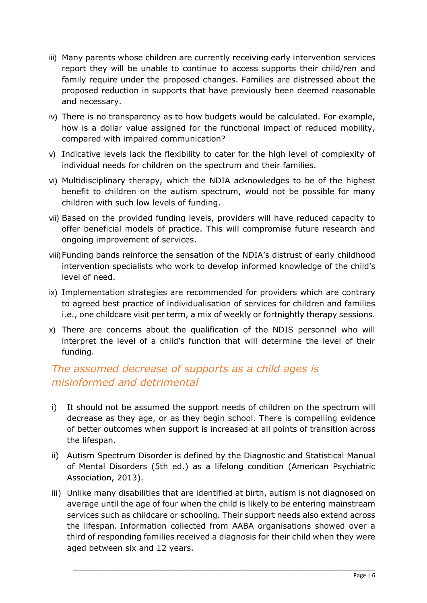- iii) Many parents whose children are currently receiving early intervention services report they will be unable to continue to access supports their child/ren and family require under the proposed changes. Families are distressed about the proposed reduction in supports that have previously been deemed reasonable and necessary.
- iv) There is no transparency as to how budgets would be calculated. For example, how is a dollar value assigned for the functional impact of reduced mobility, compared with impaired communication?
- v) Indicative levels lack the flexibility to cater for the high level of complexity of individual needs for children on the spectrum and their families.
- vi) Multidisciplinary therapy, which the NDIA acknowledges to be of the highest benefit to children on the autism spectrum, would not be possible for many children with such low levels of funding.
- vii) Based on the provided funding levels, providers will have reduced capacity to offer beneficial models of practice. This will compromise future research and ongoing improvement of services.
- viii)Funding bands reinforce the sensation of the NDIA's distrust of early childhood intervention specialists who work to develop informed knowledge of the child's level of need.
- ix) Implementation strategies are recommended for providers which are contrary to agreed best practice of individualisation of services for children and families i.e., one childcare visit per term, a mix of weekly or fortnightly therapy sessions.
- x) There are concerns about the qualification of the NDIS personnel who will interpret the level of a child's function that will determine the level of their funding.

## *The assumed decrease of supports as a child ages is misinformed and detrimental*

- i) It should not be assumed the support needs of children on the spectrum will decrease as they age, or as they begin school. There is compelling evidence of better outcomes when support is increased at all points of transition across the lifespan.
- ii) Autism Spectrum Disorder is defined by the Diagnostic and Statistical Manual of Mental Disorders (5th ed.) as a lifelong condition (American Psychiatric Association, 2013).
- iii) Unlike many disabilities that are identified at birth, autism is not diagnosed on average until the age of four when the child is likely to be entering mainstream services such as childcare or schooling. Their support needs also extend across the lifespan. Information collected from AABA organisations showed over a third of responding families received a diagnosis for their child when they were aged between six and 12 years.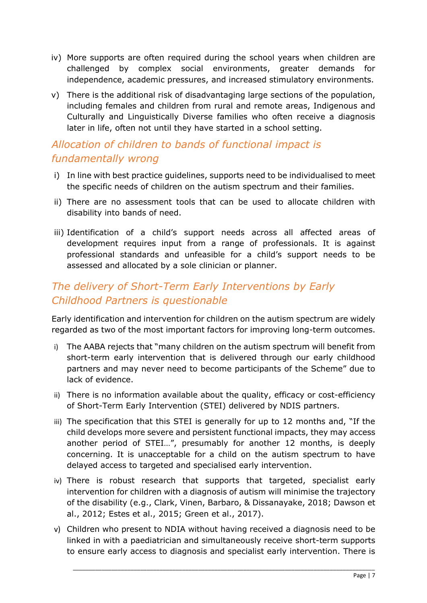- iv) More supports are often required during the school years when children are challenged by complex social environments, greater demands for independence, academic pressures, and increased stimulatory environments.
- v) There is the additional risk of disadvantaging large sections of the population, including females and children from rural and remote areas, Indigenous and Culturally and Linguistically Diverse families who often receive a diagnosis later in life, often not until they have started in a school setting.

## *Allocation of children to bands of functional impact is fundamentally wrong*

- i) In line with best practice guidelines, supports need to be individualised to meet the specific needs of children on the autism spectrum and their families.
- ii) There are no assessment tools that can be used to allocate children with disability into bands of need.
- iii) Identification of a child's support needs across all affected areas of development requires input from a range of professionals. It is against professional standards and unfeasible for a child's support needs to be assessed and allocated by a sole clinician or planner.

# *The delivery of Short-Term Early Interventions by Early Childhood Partners is questionable*

Early identification and intervention for children on the autism spectrum are widely regarded as two of the most important factors for improving long-term outcomes.

- i) The AABA rejects that "many children on the autism spectrum will benefit from short-term early intervention that is delivered through our early childhood partners and may never need to become participants of the Scheme" due to lack of evidence.
- ii) There is no information available about the quality, efficacy or cost-efficiency of Short-Term Early Intervention (STEI) delivered by NDIS partners.
- iii) The specification that this STEI is generally for up to 12 months and, "If the child develops more severe and persistent functional impacts, they may access another period of STEI…", presumably for another 12 months, is deeply concerning. It is unacceptable for a child on the autism spectrum to have delayed access to targeted and specialised early intervention.
- iv) There is robust research that supports that targeted, specialist early intervention for children with a diagnosis of autism will minimise the trajectory of the disability (e.g., Clark, Vinen, Barbaro, & Dissanayake, 2018; Dawson et al., 2012; Estes et al., 2015; Green et al., 2017).
- v) Children who present to NDIA without having received a diagnosis need to be linked in with a paediatrician and simultaneously receive short-term supports to ensure early access to diagnosis and specialist early intervention. There is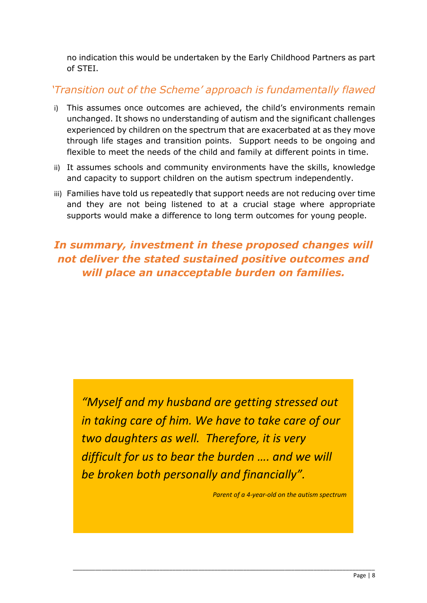no indication this would be undertaken by the Early Childhood Partners as part of STEI.

### *'Transition out of the Scheme' approach is fundamentally flawed*

- i) This assumes once outcomes are achieved, the child's environments remain unchanged. It shows no understanding of autism and the significant challenges experienced by children on the spectrum that are exacerbated at as they move through life stages and transition points. Support needs to be ongoing and flexible to meet the needs of the child and family at different points in time.
- ii) It assumes schools and community environments have the skills, knowledge and capacity to support children on the autism spectrum independently.
- iii) Families have told us repeatedly that support needs are not reducing over time and they are not being listened to at a crucial stage where appropriate supports would make a difference to long term outcomes for young people.

# *In summary, investment in these proposed changes will not deliver the stated sustained positive outcomes and will place an unacceptable burden on families.*

*"Myself and my husband are getting stressed out in taking care of him. We have to take care of our two daughters as well. Therefore, it is very difficult for us to bear the burden …. and we will be broken both personally and financially".*

*Parent of a 4-year-old on the autism spectrum*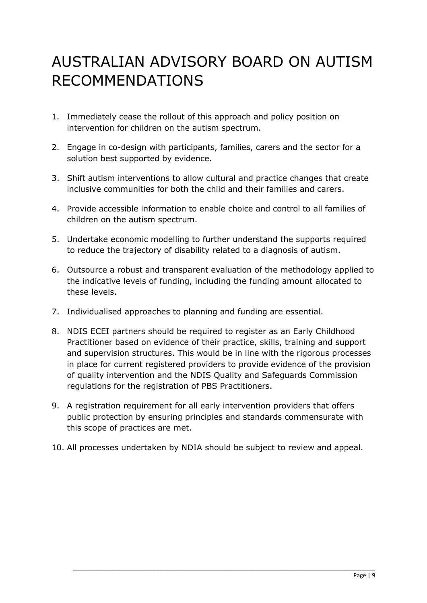# AUSTRALIAN ADVISORY BOARD ON AUTISM RECOMMENDATIONS

- 1. Immediately cease the rollout of this approach and policy position on intervention for children on the autism spectrum.
- 2. Engage in co-design with participants, families, carers and the sector for a solution best supported by evidence.
- 3. Shift autism interventions to allow cultural and practice changes that create inclusive communities for both the child and their families and carers.
- 4. Provide accessible information to enable choice and control to all families of children on the autism spectrum.
- 5. Undertake economic modelling to further understand the supports required to reduce the trajectory of disability related to a diagnosis of autism.
- 6. Outsource a robust and transparent evaluation of the methodology applied to the indicative levels of funding, including the funding amount allocated to these levels.
- 7. Individualised approaches to planning and funding are essential.
- 8. NDIS ECEI partners should be required to register as an Early Childhood Practitioner based on evidence of their practice, skills, training and support and supervision structures. This would be in line with the rigorous processes in place for current registered providers to provide evidence of the provision of quality intervention and the NDIS Quality and Safeguards Commission regulations for the registration of PBS Practitioners.
- 9. A registration requirement for all early intervention providers that offers public protection by ensuring principles and standards commensurate with this scope of practices are met.
- 10. All processes undertaken by NDIA should be subject to review and appeal.